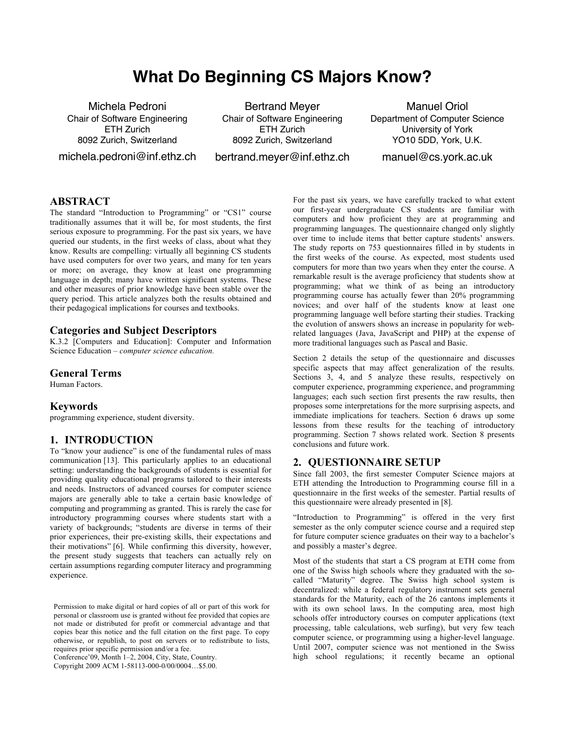# **What Do Beginning CS Majors Know?**

Michela Pedroni Chair of Software Engineering ETH Zurich 8092 Zurich, Switzerland

michela.pedroni@inf.ethz.ch

Bertrand Meyer Chair of Software Engineering ETH Zurich 8092 Zurich, Switzerland bertrand.meyer@inf.ethz.ch

Manuel Oriol Department of Computer Science University of York YO10 5DD, York, U.K.

manuel@cs.york.ac.uk

#### **ABSTRACT**

The standard "Introduction to Programming" or "CS1" course traditionally assumes that it will be, for most students, the first serious exposure to programming. For the past six years, we have queried our students, in the first weeks of class, about what they know. Results are compelling: virtually all beginning CS students have used computers for over two years, and many for ten years or more; on average, they know at least one programming language in depth; many have written significant systems. These and other measures of prior knowledge have been stable over the query period. This article analyzes both the results obtained and their pedagogical implications for courses and textbooks.

#### **Categories and Subject Descriptors**

K.3.2 [Computers and Education]: Computer and Information Science Education – *computer science education.* 

#### **General Terms**

Human Factors.

# **Keywords**

programming experience, student diversity.

#### **1. INTRODUCTION**

To "know your audience" is one of the fundamental rules of mass communication [13]. This particularly applies to an educational setting: understanding the backgrounds of students is essential for providing quality educational programs tailored to their interests and needs. Instructors of advanced courses for computer science majors are generally able to take a certain basic knowledge of computing and programming as granted. This is rarely the case for introductory programming courses where students start with a variety of backgrounds; "students are diverse in terms of their prior experiences, their pre-existing skills, their expectations and their motivations" [6]. While confirming this diversity, however, the present study suggests that teachers can actually rely on certain assumptions regarding computer literacy and programming experience.

Conference'09, Month 1–2, 2004, City, State, Country.

Copyright 2009 ACM 1-58113-000-0/00/0004…\$5.00.

For the past six years, we have carefully tracked to what extent our first-year undergraduate CS students are familiar with computers and how proficient they are at programming and programming languages. The questionnaire changed only slightly over time to include items that better capture students' answers. The study reports on 753 questionnaires filled in by students in the first weeks of the course. As expected, most students used computers for more than two years when they enter the course. A remarkable result is the average proficiency that students show at programming; what we think of as being an introductory programming course has actually fewer than 20% programming novices; and over half of the students know at least one programming language well before starting their studies. Tracking the evolution of answers shows an increase in popularity for webrelated languages (Java, JavaScript and PHP) at the expense of more traditional languages such as Pascal and Basic.

Section 2 details the setup of the questionnaire and discusses specific aspects that may affect generalization of the results. Sections 3, 4, and 5 analyze these results, respectively on computer experience, programming experience, and programming languages; each such section first presents the raw results, then proposes some interpretations for the more surprising aspects, and immediate implications for teachers. Section 6 draws up some lessons from these results for the teaching of introductory programming. Section 7 shows related work. Section 8 presents conclusions and future work.

# **2. QUESTIONNAIRE SETUP**

Since fall 2003, the first semester Computer Science majors at ETH attending the Introduction to Programming course fill in a questionnaire in the first weeks of the semester. Partial results of this questionnaire were already presented in [8].

"Introduction to Programming" is offered in the very first semester as the only computer science course and a required step for future computer science graduates on their way to a bachelor's and possibly a master's degree.

Most of the students that start a CS program at ETH come from one of the Swiss high schools where they graduated with the socalled "Maturity" degree. The Swiss high school system is decentralized: while a federal regulatory instrument sets general standards for the Maturity, each of the 26 cantons implements it with its own school laws. In the computing area, most high schools offer introductory courses on computer applications (text processing, table calculations, web surfing), but very few teach computer science, or programming using a higher-level language. Until 2007, computer science was not mentioned in the Swiss high school regulations; it recently became an optional

Permission to make digital or hard copies of all or part of this work for personal or classroom use is granted without fee provided that copies are not made or distributed for profit or commercial advantage and that copies bear this notice and the full citation on the first page. To copy otherwise, or republish, to post on servers or to redistribute to lists, requires prior specific permission and/or a fee.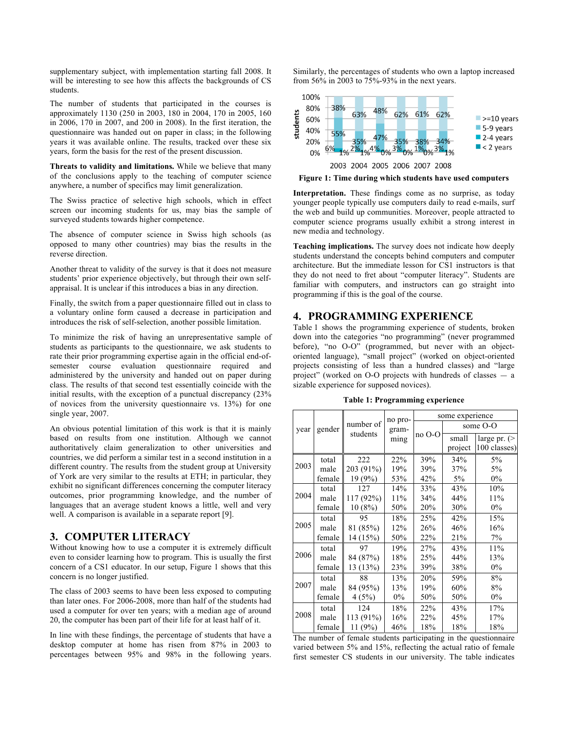supplementary subject, with implementation starting fall 2008. It will be interesting to see how this affects the backgrounds of CS students.

The number of students that participated in the courses is approximately 1130 (250 in 2003, 180 in 2004, 170 in 2005, 160 in 2006, 170 in 2007, and 200 in 2008). In the first iteration, the questionnaire was handed out on paper in class; in the following years it was available online. The results, tracked over these six years, form the basis for the rest of the present discussion.

**Threats to validity and limitations.** While we believe that many of the conclusions apply to the teaching of computer science anywhere, a number of specifics may limit generalization.

The Swiss practice of selective high schools, which in effect screen our incoming students for us, may bias the sample of surveyed students towards higher competence.

The absence of computer science in Swiss high schools (as opposed to many other countries) may bias the results in the reverse direction.

Another threat to validity of the survey is that it does not measure students' prior experience objectively, but through their own selfappraisal. It is unclear if this introduces a bias in any direction.

Finally, the switch from a paper questionnaire filled out in class to a voluntary online form caused a decrease in participation and introduces the risk of self-selection, another possible limitation.

To minimize the risk of having an unrepresentative sample of students as participants to the questionnaire, we ask students to rate their prior programming expertise again in the official end-ofsemester course evaluation questionnaire required and administered by the university and handed out on paper during class. The results of that second test essentially coincide with the initial results, with the exception of a punctual discrepancy (23% of novices from the university questionnaire vs. 13%) for one single year, 2007.

An obvious potential limitation of this work is that it is mainly based on results from one institution. Although we cannot authoritatively claim generalization to other universities and countries, we did perform a similar test in a second institution in a different country. The results from the student group at University of York are very similar to the results at ETH; in particular, they exhibit no significant differences concerning the computer literacy outcomes, prior programming knowledge, and the number of languages that an average student knows a little, well and very well. A comparison is available in a separate report [9].

#### **3. COMPUTER LITERACY**

Without knowing how to use a computer it is extremely difficult even to consider learning how to program. This is usually the first concern of a CS1 educator. In our setup, Figure 1 shows that this concern is no longer justified.

The class of 2003 seems to have been less exposed to computing than later ones. For 2006-2008, more than half of the students had used a computer for over ten years; with a median age of around 20, the computer has been part of their life for at least half of it.

In line with these findings, the percentage of students that have a desktop computer at home has risen from 87% in 2003 to percentages between 95% and 98% in the following years.

Similarly, the percentages of students who own a laptop increased from 56% in 2003 to 75%-93% in the next years.



**Figure 1: Time during which students have used computers**

**Interpretation.** These findings come as no surprise, as today younger people typically use computers daily to read e-mails, surf the web and build up communities. Moreover, people attracted to computer science programs usually exhibit a strong interest in new media and technology.

**Teaching implications.** The survey does not indicate how deeply students understand the concepts behind computers and computer architecture. But the immediate lesson for CS1 instructors is that they do not need to fret about "computer literacy". Students are familiar with computers, and instructors can go straight into programming if this is the goal of the course.

# **4. PROGRAMMING EXPERIENCE**

Table 1 shows the programming experience of students, broken down into the categories "no programming" (never programmed before), "no O-O" (programmed, but never with an objectoriented language), "small project" (worked on object-oriented projects consisting of less than a hundred classes) and "large project" (worked on O-O projects with hundreds of classes — a sizable experience for supposed novices).

**Table 1: Programming experience** 

| year | gender | number of<br>students | no pro-<br>gram-<br>ming | some experience |          |               |  |
|------|--------|-----------------------|--------------------------|-----------------|----------|---------------|--|
|      |        |                       |                          | no O-O          | some O-O |               |  |
|      |        |                       |                          |                 | small    | large pr. $($ |  |
|      |        |                       |                          |                 | project  | 100 classes)  |  |
|      | total  | 222                   | 22%                      | 39%             | 34%      | 5%            |  |
| 2003 | male   | 203 (91%)             | 19%                      | 39%             | 37%      | 5%            |  |
|      | female | 19 (9%)               | 53%                      | 42%             | $5\%$    | $0\%$         |  |
| 2004 | total  | 127                   | 14%                      | 33%             | 43%      | 10%           |  |
|      | male   | 117 (92%)             | 11%                      | 34%             | 44%      | 11%           |  |
|      | female | 10(8%)                | 50%                      | 20%             | 30%      | $0\%$         |  |
| 2005 | total  | 95                    | 18%                      | 25%             | 42%      | 15%           |  |
|      | male   | 81 (85%)              | 12%                      | 26%             | 46%      | 16%           |  |
|      | female | 14 (15%)              | 50%                      | 22%             | 21%      | 7%            |  |
| 2006 | total  | 97                    | 19%                      | 27%             | 43%      | 11%           |  |
|      | male   | 84 (87%)              | 18%                      | 25%             | 44%      | 13%           |  |
|      | female | 13 (13%)              | 23%                      | 39%             | 38%      | 0%            |  |
| 2007 | total  | 88                    | 13%                      | 20%             | 59%      | 8%            |  |
|      | male   | 84 (95%)              | 13%                      | 19%             | 60%      | 8%            |  |
|      | female | 4(5%)                 | $0\%$                    | 50%             | 50%      | 0%            |  |
| 2008 | total  | 124                   | 18%                      | 22%             | 43%      | 17%           |  |
|      | male   | 113 (91%)             | 16%                      | 22%             | 45%      | 17%           |  |
|      | female | 11 (9%)               | 46%                      | 18%             | 18%      | 18%           |  |

The number of female students participating in the questionnaire varied between 5% and 15%, reflecting the actual ratio of female first semester CS students in our university. The table indicates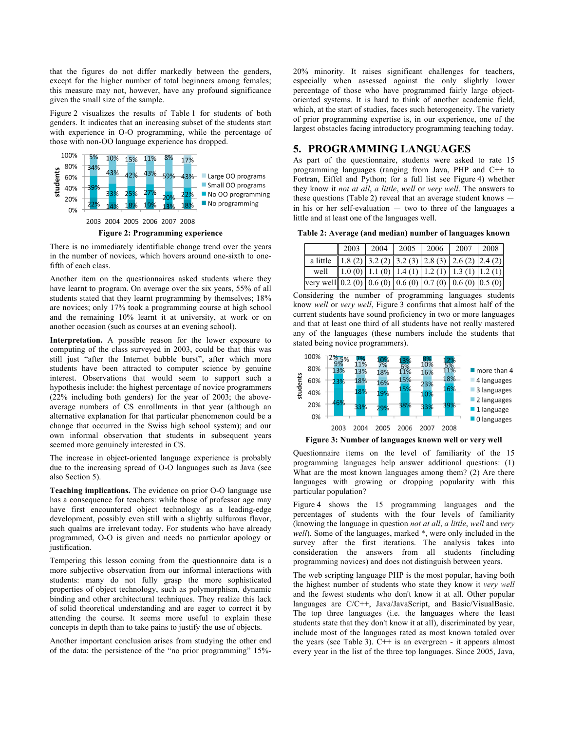that the figures do not differ markedly between the genders, except for the higher number of total beginners among females; this measure may not, however, have any profound significance given the small size of the sample.

Figure 2 visualizes the results of Table 1 for students of both genders. It indicates that an increasing subset of the students start with experience in O-O programming, while the percentage of those with non-OO language experience has dropped.



There is no immediately identifiable change trend over the years in the number of novices, which hovers around one-sixth to onefifth of each class.

Another item on the questionnaires asked students where they have learnt to program. On average over the six years, 55% of all students stated that they learnt programming by themselves; 18% are novices; only 17% took a programming course at high school and the remaining 10% learnt it at university, at work or on another occasion (such as courses at an evening school).

**Interpretation.** A possible reason for the lower exposure to computing of the class surveyed in 2003, could be that this was still just "after the Internet bubble burst", after which more students have been attracted to computer science by genuine interest. Observations that would seem to support such a hypothesis include: the highest percentage of novice programmers (22% including both genders) for the year of 2003; the aboveaverage numbers of CS enrollments in that year (although an alternative explanation for that particular phenomenon could be a change that occurred in the Swiss high school system); and our own informal observation that students in subsequent years seemed more genuinely interested in CS.

The increase in object-oriented language experience is probably due to the increasing spread of O-O languages such as Java (see also Section 5).

**Teaching implications.** The evidence on prior O-O language use has a consequence for teachers: while those of professor age may have first encountered object technology as a leading-edge development, possibly even still with a slightly sulfurous flavor, such qualms are irrelevant today. For students who have already programmed, O-O is given and needs no particular apology or justification.

Tempering this lesson coming from the questionnaire data is a more subjective observation from our informal interactions with students: many do not fully grasp the more sophisticated properties of object technology, such as polymorphism, dynamic binding and other architectural techniques. They realize this lack of solid theoretical understanding and are eager to correct it by attending the course. It seems more useful to explain these concepts in depth than to take pains to justify the use of objects.

Another important conclusion arises from studying the other end of the data: the persistence of the "no prior programming" 15%-

20% minority. It raises significant challenges for teachers, especially when assessed against the only slightly lower percentage of those who have programmed fairly large objectoriented systems. It is hard to think of another academic field, which, at the start of studies, faces such heterogeneity. The variety of prior programming expertise is, in our experience, one of the largest obstacles facing introductory programming teaching today.

## **5. PROGRAMMING LANGUAGES**

As part of the questionnaire, students were asked to rate 15 programming languages (ranging from Java, PHP and C++ to Fortran, Eiffel and Python; for a full list see Figure 4) whether they know it *not at all*, *a little*, *well* or *very well*. The answers to these questions (Table 2) reveal that an average student knows in his or her self-evaluation — two to three of the languages a little and at least one of the languages well.

**Table 2: Average (and median) number of languages known** 

|                                                                                              |  |  | 2003   2004   2005   2006   2007   2008                                               |  |
|----------------------------------------------------------------------------------------------|--|--|---------------------------------------------------------------------------------------|--|
| a little 1.8 (2) $3.2$ (2) $3.2$ (3) $2.8$ (3) $2.6$ (2) $2.4$ (2)                           |  |  |                                                                                       |  |
| well                                                                                         |  |  | $\vert 1.0(0) \vert 1.1(0) \vert 1.4(1) \vert 1.2(1) \vert 1.3(1) \vert 1.2(1) \vert$ |  |
| very well 0.2 (0) $\mid$ 0.6 (0) $\mid$ 0.6 (0) $\mid$ 0.7 (0) $\mid$ 0.6 (0) $\mid$ 0.5 (0) |  |  |                                                                                       |  |

Considering the number of programming languages students know *well* or *very well*, Figure 3 confirms that almost half of the current students have sound proficiency in two or more languages and that at least one third of all students have not really mastered any of the languages (these numbers include the students that stated being novice programmers).



**Figure 3: Number of languages known well or very well**

Questionnaire items on the level of familiarity of the 15 programming languages help answer additional questions: (1) What are the most known languages among them? (2) Are there languages with growing or dropping popularity with this particular population?

Figure 4 shows the 15 programming languages and the percentages of students with the four levels of familiarity (knowing the language in question *not at all*, *a little*, *well* and *very well*). Some of the languages, marked \*, were only included in the survey after the first iterations. The analysis takes into consideration the answers from all students (including programming novices) and does not distinguish between years.

The web scripting language PHP is the most popular, having both the highest number of students who state they know it *very well* and the fewest students who don't know it at all. Other popular languages are C/C++, Java/JavaScript, and Basic/VisualBasic. The top three languages (i.e. the languages where the least students state that they don't know it at all), discriminated by year, include most of the languages rated as most known totaled over the years (see Table 3).  $C++$  is an evergreen - it appears almost every year in the list of the three top languages. Since 2005, Java,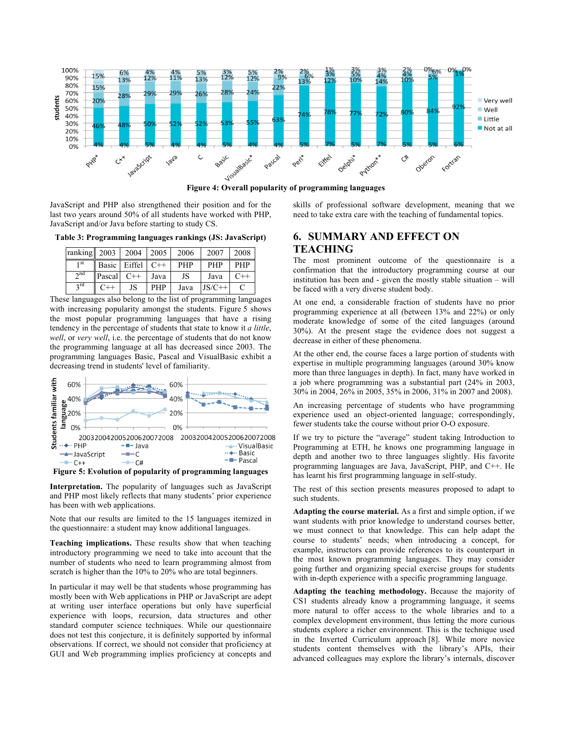

JavaScript and PHP also strengthened their position and for the last two years around 50% of all students have worked with PHP, JavaScript and/or Java before starting to study CS.

**Table 3: Programming languages rankings (JS: JavaScript)** 

| ranking $2003$ |        | 2004         | 2005       | 2006       | 2007       | 2008       |
|----------------|--------|--------------|------------|------------|------------|------------|
| 1 St           |        | Basic Eiffel | $C++$      | <b>PHP</b> | <b>PHP</b> | <b>PHP</b> |
| $\gamma$ nd    | Pascal | $C++$        | Java       | JS         | Java       | $C++$      |
| $\gamma$ rd    |        | JS           | <b>PHP</b> | Java       | $JS/C++$   |            |

These languages also belong to the list of programming languages with increasing popularity amongst the students. Figure 5 shows the most popular programming languages that have a rising tendency in the percentage of students that state to know it *a little*, *well*, or *very well*, i.e. the percentage of students that do not know the programming language at all has decreased since 2003. The programming languages Basic, Pascal and VisualBasic exhibit a decreasing trend in students' level of familiarity.



**Figure 5: Evolution of popularity of programming languages** 

**Interpretation.** The popularity of languages such as JavaScript and PHP most likely reflects that many students' prior experience has been with web applications.

Note that our results are limited to the 15 languages itemized in the questionnaire: a student may know additional languages.

**Teaching implications.** These results show that when teaching introductory programming we need to take into account that the number of students who need to learn programming almost from scratch is higher than the 10% to 20% who are total beginners.

In particular it may well be that students whose programming has mostly been with Web applications in PHP or JavaScript are adept at writing user interface operations but only have superficial experience with loops, recursion, data structures and other standard computer science techniques. While our questionnaire does not test this conjecture, it is definitely supported by informal observations. If correct, we should not consider that proficiency at GUI and Web programming implies proficiency at concepts and skills of professional software development, meaning that we need to take extra care with the teaching of fundamental topics.

# **6. SUMMARY AND EFFECT ON TEACHING**

The most prominent outcome of the questionnaire is a confirmation that the introductory programming course at our institution has been and - given the mostly stable situation – will be faced with a very diverse student body.

At one end, a considerable fraction of students have no prior programming experience at all (between 13% and 22%) or only moderate knowledge of some of the cited languages (around 30%). At the present stage the evidence does not suggest a decrease in either of these phenomena.

At the other end, the course faces a large portion of students with expertise in multiple programming languages (around 30% know more than three languages in depth). In fact, many have worked in a job where programming was a substantial part (24% in 2003, 30% in 2004, 26% in 2005, 35% in 2006, 31% in 2007 and 2008).

An increasing percentage of students who have programming experience used an object-oriented language; correspondingly, fewer students take the course without prior O-O exposure.

If we try to picture the "average" student taking Introduction to Programming at ETH, he knows one programming language in depth and another two to three languages slightly. His favorite programming languages are Java, JavaScript, PHP, and C++. He has learnt his first programming language in self-study.

The rest of this section presents measures proposed to adapt to such students.

**Adapting the course material.** As a first and simple option, if we want students with prior knowledge to understand courses better, we must connect to that knowledge. This can help adapt the course to students' needs; when introducing a concept, for example, instructors can provide references to its counterpart in the most known programming languages. They may consider going further and organizing special exercise groups for students with in-depth experience with a specific programming language.

**Adapting the teaching methodology.** Because the majority of CS1 students already know a programming language, it seems more natural to offer access to the whole libraries and to a complex development environment, thus letting the more curious students explore a richer environment. This is the technique used in the Inverted Curriculum approach [8]. While more novice students content themselves with the library's APIs, their advanced colleagues may explore the library's internals, discover